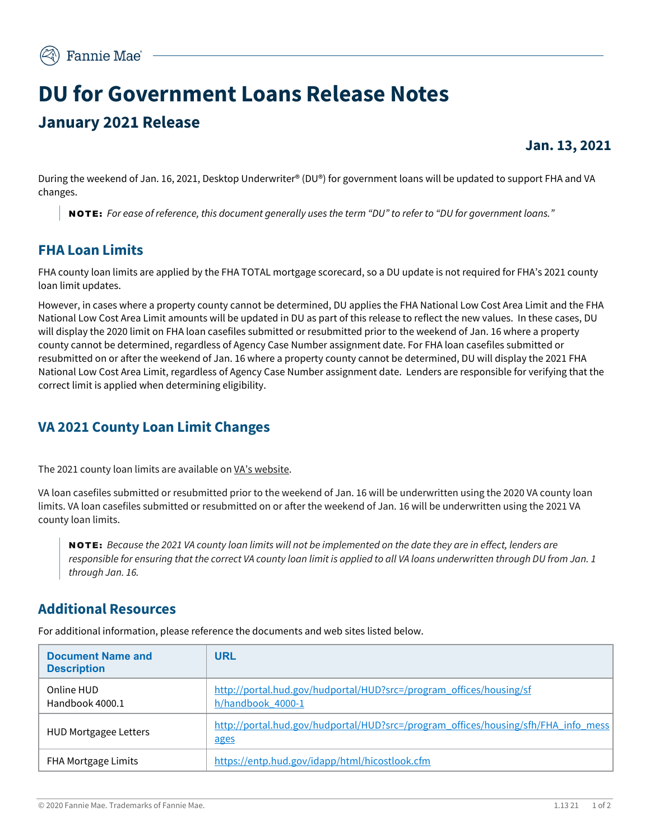**January 2021 Release**

# **DU for Government Loans Release Notes**

#### **Jan. 13, 2021**

During the weekend of Jan. 16, 2021, Desktop Underwriter® (DU®) for government loans will be updated to support FHA and VA changes.

NOTE: *For ease of reference, this document generally uses the term "DU" to refer to "DU for government loans."* 

## **FHA Loan Limits**

FHA county loan limits are applied by the FHA TOTAL mortgage scorecard, so a DU update is not required for FHA's 2021 county loan limit updates.

However, in cases where a property county cannot be determined, DU applies the FHA National Low Cost Area Limit and the FHA National Low Cost Area Limit amounts will be updated in DU as part of this release to reflect the new values. In these cases, DU will display the 2020 limit on FHA loan casefiles submitted or resubmitted prior to the weekend of Jan. 16 where a property county cannot be determined, regardless of Agency Case Number assignment date. For FHA loan casefiles submitted or resubmitted on or after the weekend of Jan. 16 where a property county cannot be determined, DU will display the 2021 FHA National Low Cost Area Limit, regardless of Agency Case Number assignment date. Lenders are responsible for verifying that the correct limit is applied when determining eligibility.

### **VA 2021 County Loan Limit Changes**

The 2021 county loan limits are available o[n VA's website.](https://www.benefits.va.gov/HOMELOANS/documents/circulars/26_21_01.pdf)

VA loan casefiles submitted or resubmitted prior to the weekend of Jan. 16 will be underwritten using the 2020 VA county loan limits. VA loan casefiles submitted or resubmitted on or after the weekend of Jan. 16 will be underwritten using the 2021 VA county loan limits.

NOTE: *Because the 2021 VA county loan limits will not be implemented on the date they are in effect, lenders are responsible for ensuring that the correct VA county loan limit is applied to all VA loans underwritten through DU from Jan. 1 through Jan. 16.*

#### **Additional Resources**

| <b>Document Name and</b><br><b>Description</b> | <b>URL</b>                                                                                 |
|------------------------------------------------|--------------------------------------------------------------------------------------------|
| Online HUD<br>Handbook 4000.1                  | http://portal.hud.gov/hudportal/HUD?src=/program_offices/housing/sf<br>h/handbook_4000-1   |
| <b>HUD Mortgagee Letters</b>                   | http://portal.hud.gov/hudportal/HUD?src=/program_offices/housing/sfh/FHA_info_mess<br>ages |
| FHA Mortgage Limits                            | https://entp.hud.gov/idapp/html/hicostlook.cfm                                             |

For additional information, please reference the documents and web sites listed below.